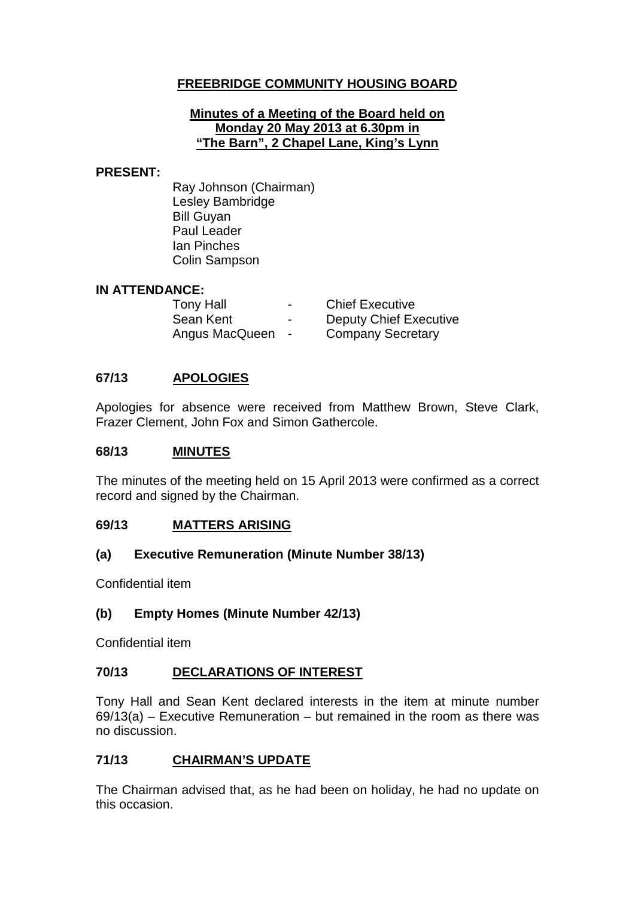# **FREEBRIDGE COMMUNITY HOUSING BOARD**

#### **Minutes of a Meeting of the Board held on Monday 20 May 2013 at 6.30pm in "The Barn", 2 Chapel Lane, King's Lynn**

#### **PRESENT:**

Ray Johnson (Chairman) Lesley Bambridge Bill Guyan Paul Leader Ian Pinches Colin Sampson

#### **IN ATTENDANCE:**

| <b>Tony Hall</b> | $\blacksquare$           | <b>Chief Executive</b>        |
|------------------|--------------------------|-------------------------------|
| Sean Kent        | $\overline{\phantom{0}}$ | <b>Deputy Chief Executive</b> |
| Angus MacQueen   | $\sim$                   | <b>Company Secretary</b>      |

### **67/13 APOLOGIES**

Apologies for absence were received from Matthew Brown, Steve Clark, Frazer Clement, John Fox and Simon Gathercole.

### **68/13 MINUTES**

The minutes of the meeting held on 15 April 2013 were confirmed as a correct record and signed by the Chairman.

#### **69/13 MATTERS ARISING**

### **(a) Executive Remuneration (Minute Number 38/13)**

Confidential item

### **(b) Empty Homes (Minute Number 42/13)**

Confidential item

### **70/13 DECLARATIONS OF INTEREST**

Tony Hall and Sean Kent declared interests in the item at minute number 69/13(a) – Executive Remuneration – but remained in the room as there was no discussion.

### **71/13 CHAIRMAN'S UPDATE**

The Chairman advised that, as he had been on holiday, he had no update on this occasion.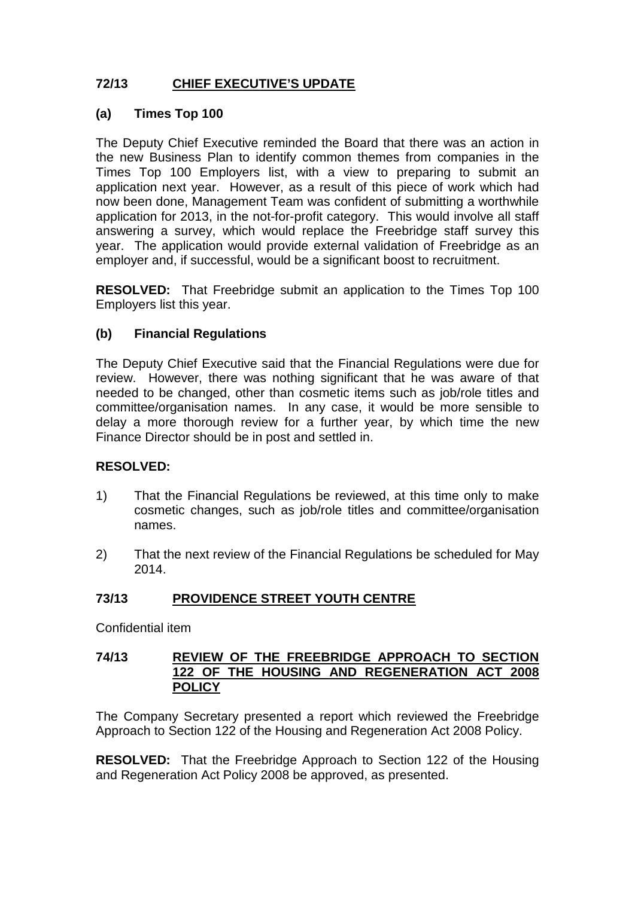# **72/13 CHIEF EXECUTIVE'S UPDATE**

## **(a) Times Top 100**

The Deputy Chief Executive reminded the Board that there was an action in the new Business Plan to identify common themes from companies in the Times Top 100 Employers list, with a view to preparing to submit an application next year. However, as a result of this piece of work which had now been done, Management Team was confident of submitting a worthwhile application for 2013, in the not-for-profit category. This would involve all staff answering a survey, which would replace the Freebridge staff survey this year. The application would provide external validation of Freebridge as an employer and, if successful, would be a significant boost to recruitment.

**RESOLVED:** That Freebridge submit an application to the Times Top 100 Employers list this year.

## **(b) Financial Regulations**

The Deputy Chief Executive said that the Financial Regulations were due for review. However, there was nothing significant that he was aware of that needed to be changed, other than cosmetic items such as job/role titles and committee/organisation names. In any case, it would be more sensible to delay a more thorough review for a further year, by which time the new Finance Director should be in post and settled in.

### **RESOLVED:**

- 1) That the Financial Regulations be reviewed, at this time only to make cosmetic changes, such as job/role titles and committee/organisation names.
- 2) That the next review of the Financial Regulations be scheduled for May 2014.

### **73/13 PROVIDENCE STREET YOUTH CENTRE**

Confidential item

### **74/13 REVIEW OF THE FREEBRIDGE APPROACH TO SECTION 122 OF THE HOUSING AND REGENERATION ACT 2008 POLICY**

The Company Secretary presented a report which reviewed the Freebridge Approach to Section 122 of the Housing and Regeneration Act 2008 Policy.

**RESOLVED:** That the Freebridge Approach to Section 122 of the Housing and Regeneration Act Policy 2008 be approved, as presented.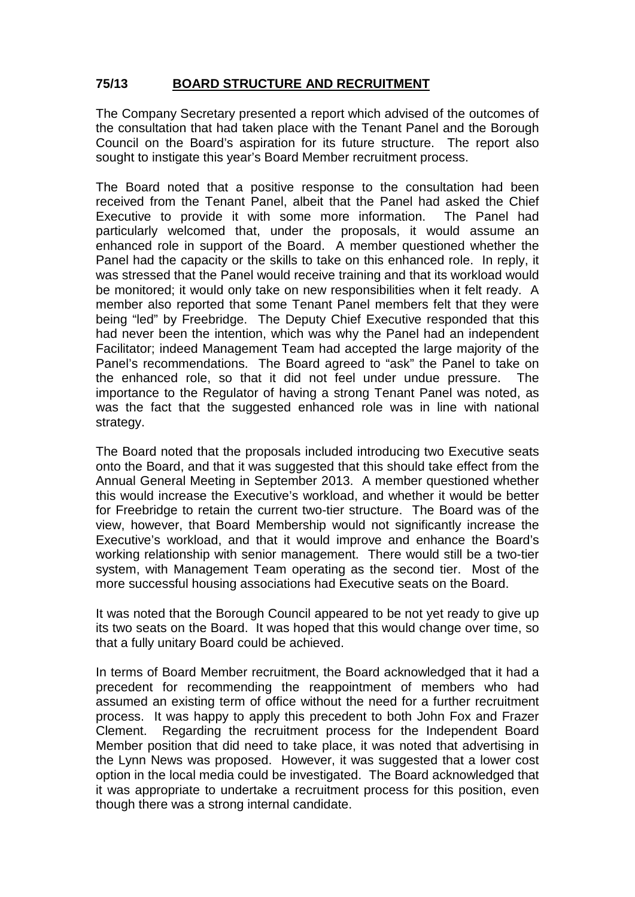# **75/13 BOARD STRUCTURE AND RECRUITMENT**

The Company Secretary presented a report which advised of the outcomes of the consultation that had taken place with the Tenant Panel and the Borough Council on the Board's aspiration for its future structure. The report also sought to instigate this year's Board Member recruitment process.

The Board noted that a positive response to the consultation had been received from the Tenant Panel, albeit that the Panel had asked the Chief Executive to provide it with some more information. The Panel had particularly welcomed that, under the proposals, it would assume an enhanced role in support of the Board. A member questioned whether the Panel had the capacity or the skills to take on this enhanced role. In reply, it was stressed that the Panel would receive training and that its workload would be monitored; it would only take on new responsibilities when it felt ready. A member also reported that some Tenant Panel members felt that they were being "led" by Freebridge. The Deputy Chief Executive responded that this had never been the intention, which was why the Panel had an independent Facilitator; indeed Management Team had accepted the large majority of the Panel's recommendations. The Board agreed to "ask" the Panel to take on the enhanced role, so that it did not feel under undue pressure. The importance to the Regulator of having a strong Tenant Panel was noted, as was the fact that the suggested enhanced role was in line with national strategy.

The Board noted that the proposals included introducing two Executive seats onto the Board, and that it was suggested that this should take effect from the Annual General Meeting in September 2013. A member questioned whether this would increase the Executive's workload, and whether it would be better for Freebridge to retain the current two-tier structure. The Board was of the view, however, that Board Membership would not significantly increase the Executive's workload, and that it would improve and enhance the Board's working relationship with senior management. There would still be a two-tier system, with Management Team operating as the second tier. Most of the more successful housing associations had Executive seats on the Board.

It was noted that the Borough Council appeared to be not yet ready to give up its two seats on the Board. It was hoped that this would change over time, so that a fully unitary Board could be achieved.

In terms of Board Member recruitment, the Board acknowledged that it had a precedent for recommending the reappointment of members who had assumed an existing term of office without the need for a further recruitment process. It was happy to apply this precedent to both John Fox and Frazer Clement. Regarding the recruitment process for the Independent Board Member position that did need to take place, it was noted that advertising in the Lynn News was proposed. However, it was suggested that a lower cost option in the local media could be investigated. The Board acknowledged that it was appropriate to undertake a recruitment process for this position, even though there was a strong internal candidate.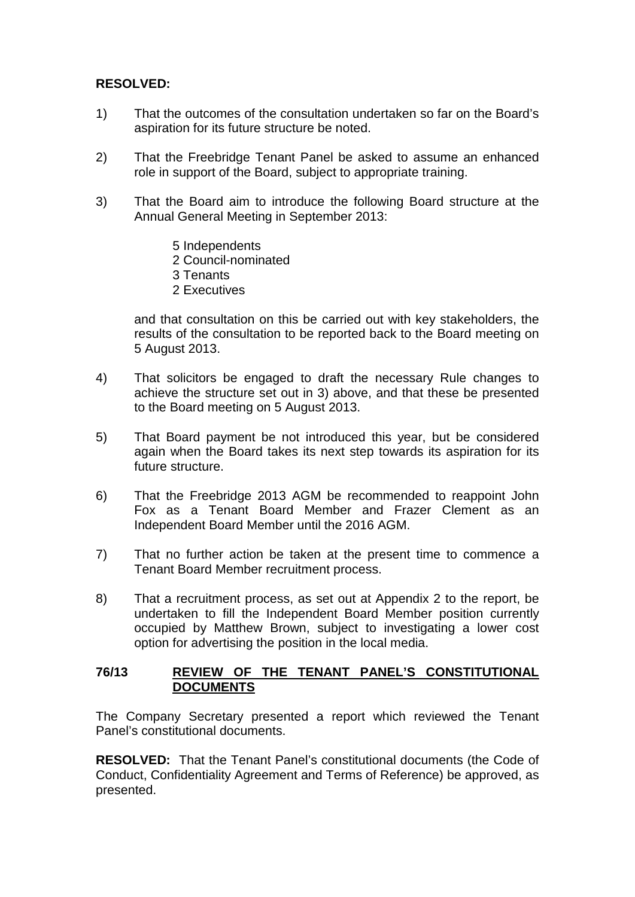## **RESOLVED:**

- 1) That the outcomes of the consultation undertaken so far on the Board's aspiration for its future structure be noted.
- 2) That the Freebridge Tenant Panel be asked to assume an enhanced role in support of the Board, subject to appropriate training.
- 3) That the Board aim to introduce the following Board structure at the Annual General Meeting in September 2013:
	- 5 Independents
	- 2 Council-nominated
	- 3 Tenants
	- 2 Executives

and that consultation on this be carried out with key stakeholders, the results of the consultation to be reported back to the Board meeting on 5 August 2013.

- 4) That solicitors be engaged to draft the necessary Rule changes to achieve the structure set out in 3) above, and that these be presented to the Board meeting on 5 August 2013.
- 5) That Board payment be not introduced this year, but be considered again when the Board takes its next step towards its aspiration for its future structure.
- 6) That the Freebridge 2013 AGM be recommended to reappoint John Fox as a Tenant Board Member and Frazer Clement as an Independent Board Member until the 2016 AGM.
- 7) That no further action be taken at the present time to commence a Tenant Board Member recruitment process.
- 8) That a recruitment process, as set out at Appendix 2 to the report, be undertaken to fill the Independent Board Member position currently occupied by Matthew Brown, subject to investigating a lower cost option for advertising the position in the local media.

### **76/13 REVIEW OF THE TENANT PANEL'S CONSTITUTIONAL DOCUMENTS**

The Company Secretary presented a report which reviewed the Tenant Panel's constitutional documents.

**RESOLVED:** That the Tenant Panel's constitutional documents (the Code of Conduct, Confidentiality Agreement and Terms of Reference) be approved, as presented.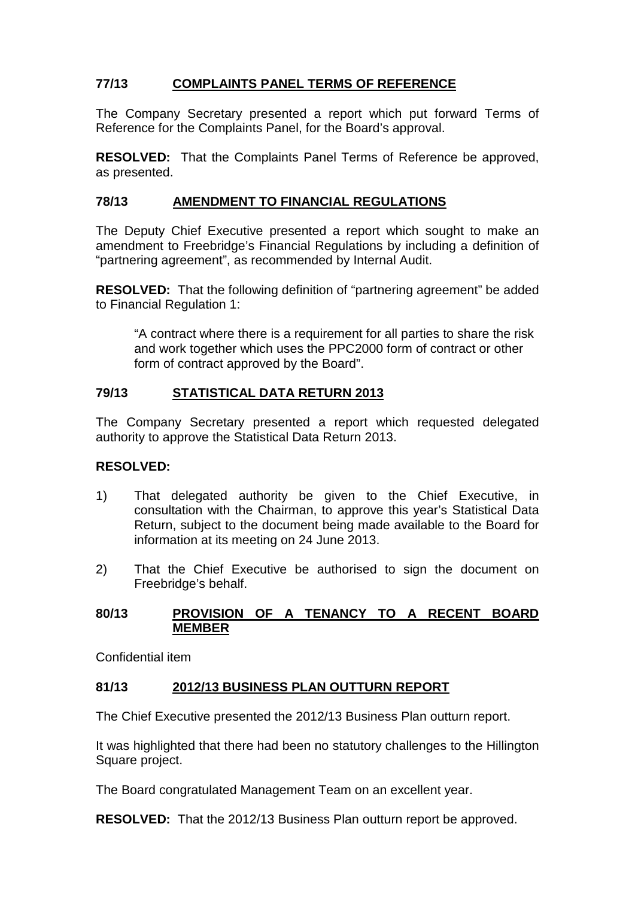# **77/13 COMPLAINTS PANEL TERMS OF REFERENCE**

The Company Secretary presented a report which put forward Terms of Reference for the Complaints Panel, for the Board's approval.

**RESOLVED:** That the Complaints Panel Terms of Reference be approved, as presented.

### **78/13 AMENDMENT TO FINANCIAL REGULATIONS**

The Deputy Chief Executive presented a report which sought to make an amendment to Freebridge's Financial Regulations by including a definition of "partnering agreement", as recommended by Internal Audit.

**RESOLVED:** That the following definition of "partnering agreement" be added to Financial Regulation 1:

"A contract where there is a requirement for all parties to share the risk and work together which uses the PPC2000 form of contract or other form of contract approved by the Board".

### **79/13 STATISTICAL DATA RETURN 2013**

The Company Secretary presented a report which requested delegated authority to approve the Statistical Data Return 2013.

### **RESOLVED:**

- 1) That delegated authority be given to the Chief Executive, in consultation with the Chairman, to approve this year's Statistical Data Return, subject to the document being made available to the Board for information at its meeting on 24 June 2013.
- 2) That the Chief Executive be authorised to sign the document on Freebridge's behalf.

### **80/13 PROVISION OF A TENANCY TO A RECENT BOARD MEMBER**

Confidential item

### **81/13 2012/13 BUSINESS PLAN OUTTURN REPORT**

The Chief Executive presented the 2012/13 Business Plan outturn report.

It was highlighted that there had been no statutory challenges to the Hillington Square project.

The Board congratulated Management Team on an excellent year.

**RESOLVED:** That the 2012/13 Business Plan outturn report be approved.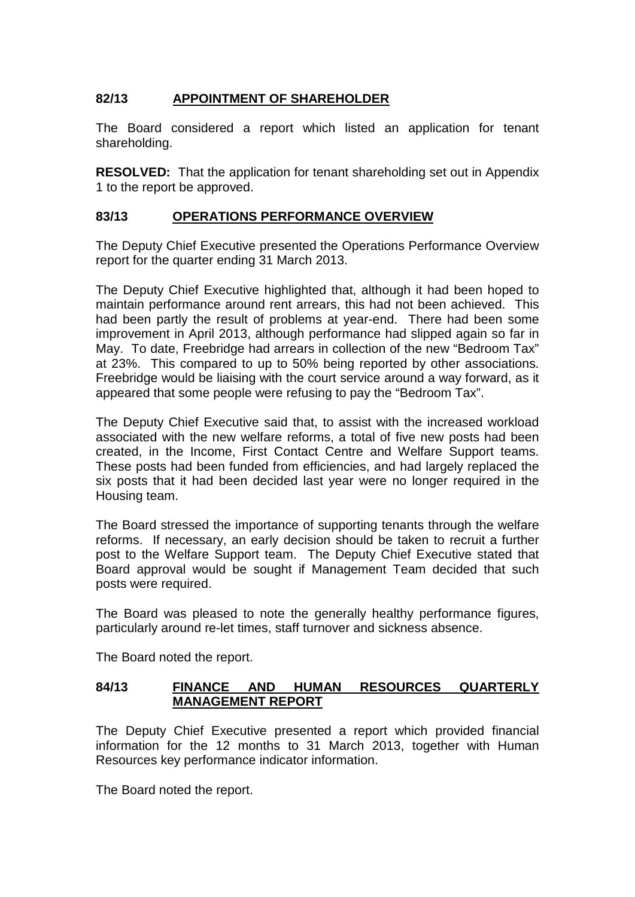# **82/13 APPOINTMENT OF SHAREHOLDER**

The Board considered a report which listed an application for tenant shareholding.

**RESOLVED:** That the application for tenant shareholding set out in Appendix 1 to the report be approved.

## **83/13 OPERATIONS PERFORMANCE OVERVIEW**

The Deputy Chief Executive presented the Operations Performance Overview report for the quarter ending 31 March 2013.

The Deputy Chief Executive highlighted that, although it had been hoped to maintain performance around rent arrears, this had not been achieved. This had been partly the result of problems at year-end. There had been some improvement in April 2013, although performance had slipped again so far in May. To date, Freebridge had arrears in collection of the new "Bedroom Tax" at 23%. This compared to up to 50% being reported by other associations. Freebridge would be liaising with the court service around a way forward, as it appeared that some people were refusing to pay the "Bedroom Tax".

The Deputy Chief Executive said that, to assist with the increased workload associated with the new welfare reforms, a total of five new posts had been created, in the Income, First Contact Centre and Welfare Support teams. These posts had been funded from efficiencies, and had largely replaced the six posts that it had been decided last year were no longer required in the Housing team.

The Board stressed the importance of supporting tenants through the welfare reforms. If necessary, an early decision should be taken to recruit a further post to the Welfare Support team. The Deputy Chief Executive stated that Board approval would be sought if Management Team decided that such posts were required.

The Board was pleased to note the generally healthy performance figures, particularly around re-let times, staff turnover and sickness absence.

The Board noted the report.

### **84/13 FINANCE AND HUMAN RESOURCES QUARTERLY MANAGEMENT REPORT**

The Deputy Chief Executive presented a report which provided financial information for the 12 months to 31 March 2013, together with Human Resources key performance indicator information.

The Board noted the report.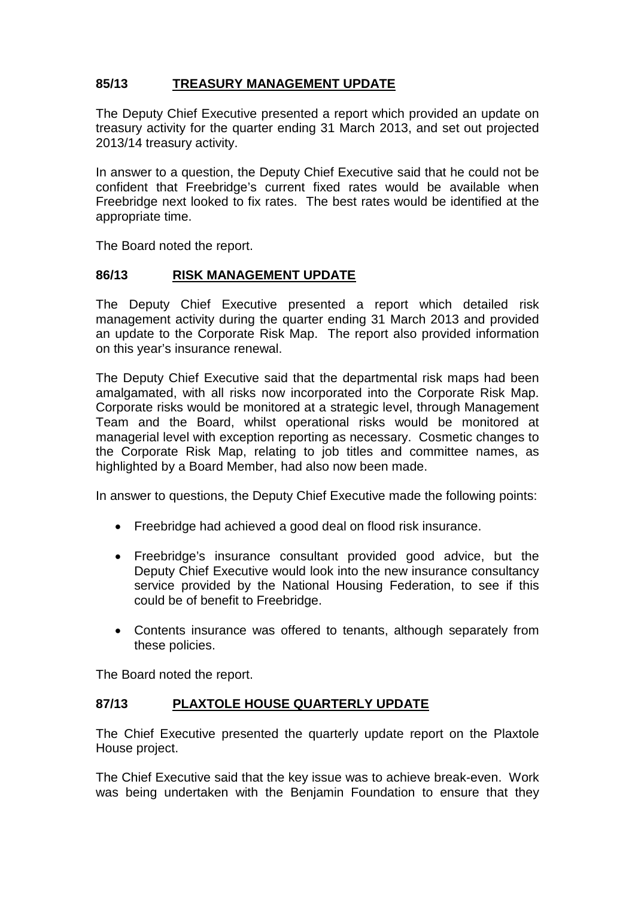# **85/13 TREASURY MANAGEMENT UPDATE**

The Deputy Chief Executive presented a report which provided an update on treasury activity for the quarter ending 31 March 2013, and set out projected 2013/14 treasury activity.

In answer to a question, the Deputy Chief Executive said that he could not be confident that Freebridge's current fixed rates would be available when Freebridge next looked to fix rates. The best rates would be identified at the appropriate time.

The Board noted the report.

## **86/13 RISK MANAGEMENT UPDATE**

The Deputy Chief Executive presented a report which detailed risk management activity during the quarter ending 31 March 2013 and provided an update to the Corporate Risk Map. The report also provided information on this year's insurance renewal.

The Deputy Chief Executive said that the departmental risk maps had been amalgamated, with all risks now incorporated into the Corporate Risk Map. Corporate risks would be monitored at a strategic level, through Management Team and the Board, whilst operational risks would be monitored at managerial level with exception reporting as necessary. Cosmetic changes to the Corporate Risk Map, relating to job titles and committee names, as highlighted by a Board Member, had also now been made.

In answer to questions, the Deputy Chief Executive made the following points:

- Freebridge had achieved a good deal on flood risk insurance.
- Freebridge's insurance consultant provided good advice, but the Deputy Chief Executive would look into the new insurance consultancy service provided by the National Housing Federation, to see if this could be of benefit to Freebridge.
- Contents insurance was offered to tenants, although separately from these policies.

The Board noted the report.

## **87/13 PLAXTOLE HOUSE QUARTERLY UPDATE**

The Chief Executive presented the quarterly update report on the Plaxtole House project.

The Chief Executive said that the key issue was to achieve break-even. Work was being undertaken with the Benjamin Foundation to ensure that they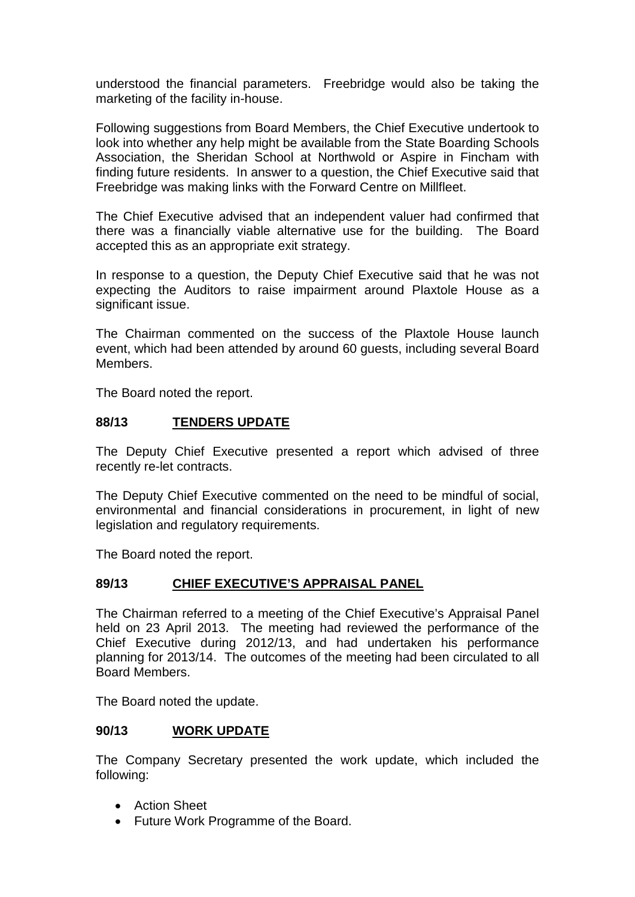understood the financial parameters. Freebridge would also be taking the marketing of the facility in-house.

Following suggestions from Board Members, the Chief Executive undertook to look into whether any help might be available from the State Boarding Schools Association, the Sheridan School at Northwold or Aspire in Fincham with finding future residents. In answer to a question, the Chief Executive said that Freebridge was making links with the Forward Centre on Millfleet.

The Chief Executive advised that an independent valuer had confirmed that there was a financially viable alternative use for the building. The Board accepted this as an appropriate exit strategy.

In response to a question, the Deputy Chief Executive said that he was not expecting the Auditors to raise impairment around Plaxtole House as a significant issue.

The Chairman commented on the success of the Plaxtole House launch event, which had been attended by around 60 guests, including several Board Members.

The Board noted the report.

### **88/13 TENDERS UPDATE**

The Deputy Chief Executive presented a report which advised of three recently re-let contracts.

The Deputy Chief Executive commented on the need to be mindful of social, environmental and financial considerations in procurement, in light of new legislation and regulatory requirements.

The Board noted the report.

### **89/13 CHIEF EXECUTIVE'S APPRAISAL PANEL**

The Chairman referred to a meeting of the Chief Executive's Appraisal Panel held on 23 April 2013. The meeting had reviewed the performance of the Chief Executive during 2012/13, and had undertaken his performance planning for 2013/14. The outcomes of the meeting had been circulated to all Board Members.

The Board noted the update.

### **90/13 WORK UPDATE**

The Company Secretary presented the work update, which included the following:

- Action Sheet
- Future Work Programme of the Board.